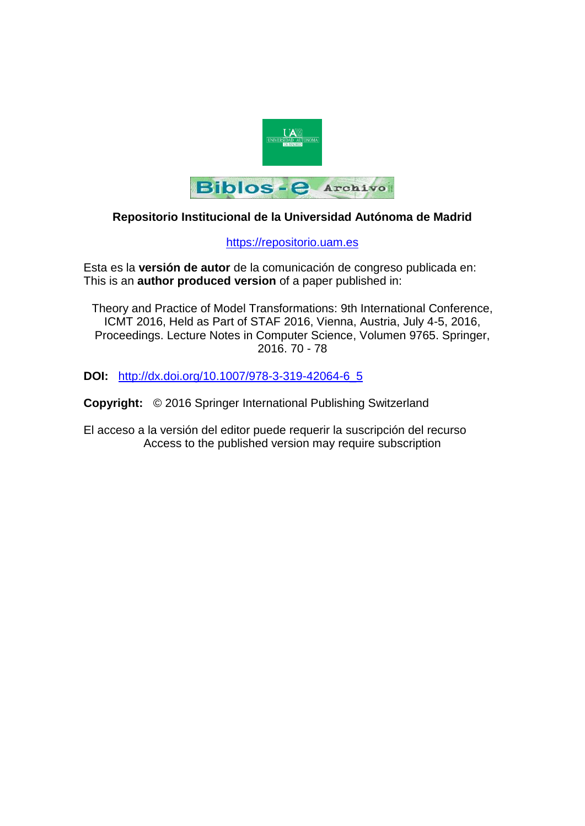

## **Repositorio Institucional de la Universidad Autónoma de Madrid**

## [https://repositorio.uam.es](https://repositorio.uam.es/)

Esta es la **versión de autor** de la comunicación de congreso publicada en: This is an **author produced version** of a paper published in:

Theory and Practice of Model Transformations: 9th International Conference, ICMT 2016, Held as Part of STAF 2016, Vienna, Austria, July 4-5, 2016, Proceedings. Lecture Notes in Computer Science, Volumen 9765. Springer, 2016. 70 - 78

**DOI:** [http://dx.doi.org/10.1007/978-3-319-42064-6\\_5](http://dx.doi.org/10.1007/978-3-319-42064-6_5)

**Copyright:** © 2016 Springer International Publishing Switzerland

El acceso a la versión del editor puede requerir la suscripción del recurso Access to the published version may require subscription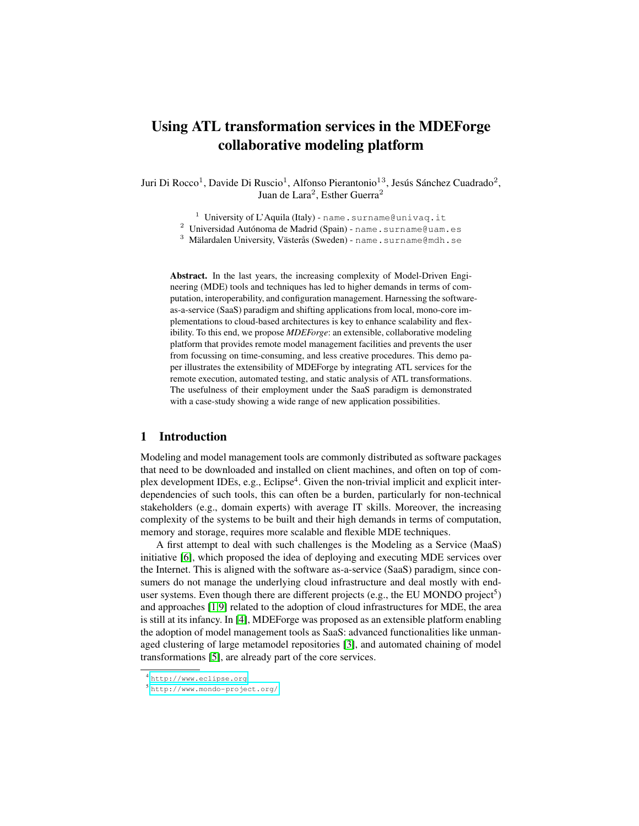# Using ATL transformation services in the MDEForge collaborative modeling platform

Juri Di Rocco<sup>1</sup>, Davide Di Ruscio<sup>1</sup>, Alfonso Pierantonio<sup>13</sup>, Jesús Sánchez Cuadrado<sup>2</sup>, Juan de Lara<sup>2</sup>, Esther Guerra<sup>2</sup>

<sup>1</sup> University of L'Aquila (Italy) - name.surname@univaq.it

<sup>2</sup> Universidad Autónoma de Madrid (Spain) - name.surname@uam.es

<sup>3</sup> Mälardalen University, Västerås (Sweden) - name.surname@mdh.se

Abstract. In the last years, the increasing complexity of Model-Driven Engineering (MDE) tools and techniques has led to higher demands in terms of computation, interoperability, and configuration management. Harnessing the softwareas-a-service (SaaS) paradigm and shifting applications from local, mono-core implementations to cloud-based architectures is key to enhance scalability and flexibility. To this end, we propose *MDEForge*: an extensible, collaborative modeling platform that provides remote model management facilities and prevents the user from focussing on time-consuming, and less creative procedures. This demo paper illustrates the extensibility of MDEForge by integrating ATL services for the remote execution, automated testing, and static analysis of ATL transformations. The usefulness of their employment under the SaaS paradigm is demonstrated with a case-study showing a wide range of new application possibilities.

## 1 Introduction

Modeling and model management tools are commonly distributed as software packages that need to be downloaded and installed on client machines, and often on top of complex development IDEs, e.g., Eclipse<sup>4</sup>. Given the non-trivial implicit and explicit interdependencies of such tools, this can often be a burden, particularly for non-technical stakeholders (e.g., domain experts) with average IT skills. Moreover, the increasing complexity of the systems to be built and their high demands in terms of computation, memory and storage, requires more scalable and flexible MDE techniques.

A first attempt to deal with such challenges is the Modeling as a Service (MaaS) initiative [\[6\]](#page-7-0), which proposed the idea of deploying and executing MDE services over the Internet. This is aligned with the software as-a-service (SaaS) paradigm, since consumers do not manage the underlying cloud infrastructure and deal mostly with enduser systems. Even though there are different projects (e.g., the EU MONDO project<sup>5</sup>) and approaches [\[1](#page-7-1)[,9\]](#page-7-2) related to the adoption of cloud infrastructures for MDE, the area is still at its infancy. In [\[4\]](#page-7-3), MDEForge was proposed as an extensible platform enabling the adoption of model management tools as SaaS: advanced functionalities like unmanaged clustering of large metamodel repositories [\[3\]](#page-7-4), and automated chaining of model transformations [\[5\]](#page-7-5), are already part of the core services.

<sup>4</sup> <http://www.eclipse.org>

<sup>5</sup> <http://www.mondo-project.org/>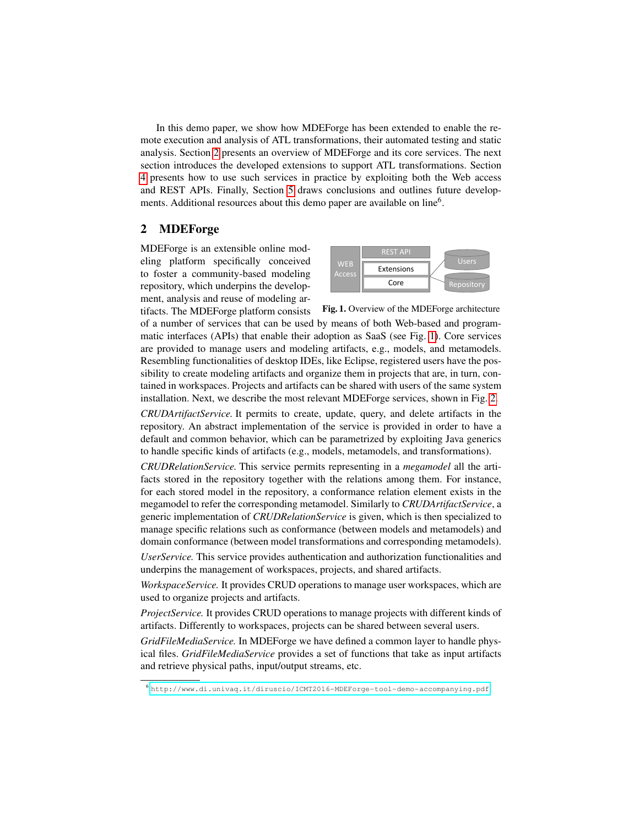In this demo paper, we show how MDEForge has been extended to enable the remote execution and analysis of ATL transformations, their automated testing and static analysis. Section [2](#page-2-0) presents an overview of MDEForge and its core services. The next section introduces the developed extensions to support ATL transformations. Section [4](#page-5-0) presents how to use such services in practice by exploiting both the Web access and REST APIs. Finally, Section [5](#page-7-6) draws conclusions and outlines future developments. Additional resources about this demo paper are available on line<sup>6</sup>.

## <span id="page-2-0"></span>2 MDEForge

MDEForge is an extensible online modeling platform specifically conceived to foster a community-based modeling repository, which underpins the development, analysis and reuse of modeling artifacts. The MDEForge platform consists



<span id="page-2-1"></span>Fig. 1. Overview of the MDEForge architecture

of a number of services that can be used by means of both Web-based and programmatic interfaces (APIs) that enable their adoption as SaaS (see Fig. [1\)](#page-2-1). Core services are provided to manage users and modeling artifacts, e.g., models, and metamodels. Resembling functionalities of desktop IDEs, like Eclipse, registered users have the possibility to create modeling artifacts and organize them in projects that are, in turn, contained in workspaces. Projects and artifacts can be shared with users of the same system installation. Next, we describe the most relevant MDEForge services, shown in Fig. [2.](#page-3-0)

*CRUDArtifactService.* It permits to create, update, query, and delete artifacts in the repository. An abstract implementation of the service is provided in order to have a default and common behavior, which can be parametrized by exploiting Java generics to handle specific kinds of artifacts (e.g., models, metamodels, and transformations).

*CRUDRelationService.* This service permits representing in a *megamodel* all the artifacts stored in the repository together with the relations among them. For instance, for each stored model in the repository, a conformance relation element exists in the megamodel to refer the corresponding metamodel. Similarly to *CRUDArtifactService*, a generic implementation of *CRUDRelationService* is given, which is then specialized to manage specific relations such as conformance (between models and metamodels) and domain conformance (between model transformations and corresponding metamodels).

*UserService.* This service provides authentication and authorization functionalities and underpins the management of workspaces, projects, and shared artifacts.

*WorkspaceService.* It provides CRUD operations to manage user workspaces, which are used to organize projects and artifacts.

*ProjectService.* It provides CRUD operations to manage projects with different kinds of artifacts. Differently to workspaces, projects can be shared between several users.

*GridFileMediaService.* In MDEForge we have defined a common layer to handle physical files. *GridFileMediaService* provides a set of functions that take as input artifacts and retrieve physical paths, input/output streams, etc.

<sup>6</sup> <http://www.di.univaq.it/diruscio/ICMT2016-MDEForge-tool-demo-accompanying.pdf>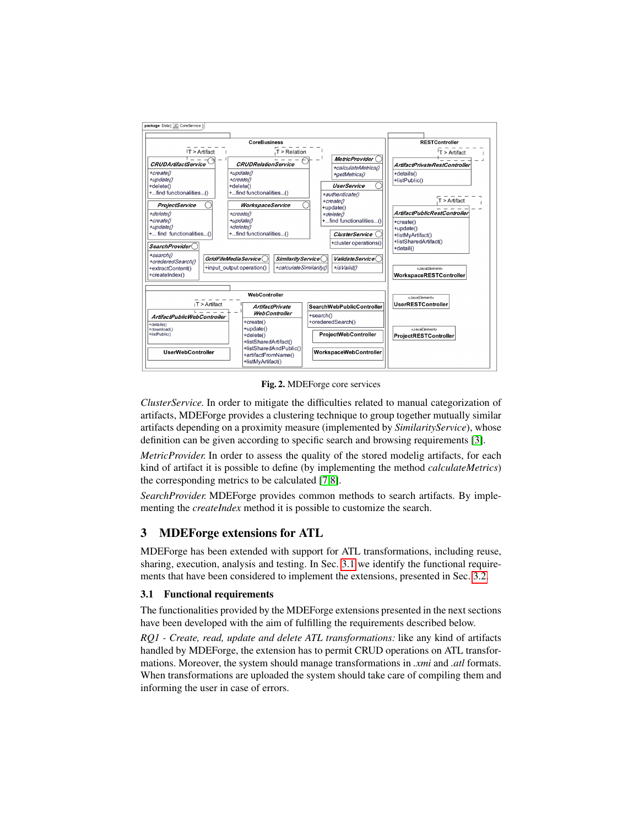| package Data [ R CoreService ]                                                                                                                |                                                                                                                                            |                                                                                                                                                            |                                                                                                                             |  |  |
|-----------------------------------------------------------------------------------------------------------------------------------------------|--------------------------------------------------------------------------------------------------------------------------------------------|------------------------------------------------------------------------------------------------------------------------------------------------------------|-----------------------------------------------------------------------------------------------------------------------------|--|--|
|                                                                                                                                               | <b>CoreBusiness</b>                                                                                                                        |                                                                                                                                                            | <b>RESTController</b>                                                                                                       |  |  |
| IT > Artifact                                                                                                                                 | T > Relation                                                                                                                               | <b>MetricProvider</b>                                                                                                                                      | $T >$ Artifact                                                                                                              |  |  |
| <b>CRUDArtifactService</b><br>+create()<br>+update()<br>+delete()<br>+find functionalities()<br>ProjectService<br>$+$ delete $0$<br>+create() | <b>CRUDRelationService</b><br>+update()<br>+create()<br>+delete()<br>+find functionalities()<br>WorkspaceService<br>+create()<br>+update() | +calculateMetrics()<br>+aetMetrics()<br><b>UserService</b><br>+authenticate()<br>$+create/$<br>+update()<br>$+$ delete $\theta$<br>+find functionalities() | ArtifactPrivateRestController<br>+details()<br>+listPublic()<br>$T >$ Artifact<br>ArtifactPublicRestController<br>+create() |  |  |
| +update()<br>+ find functionalities()<br>SearchProvider<br>+search()<br>+orederedSearch()<br>+extractContent()<br>+createIndex()              | +delete()<br>+find functionalities()<br>SimilarityService<br>GridFileMediaService<br>+calculateSimilarity()<br>+input output operation()   | <b>ClusterService</b><br>+cluster operations()<br>ValidateService<br>+isValid()                                                                            | +update()<br>+listMyArtifact()<br>+listSharedArtifact()<br>+detail()<br>«JavaElement»<br>WorkspaceRESTController            |  |  |
| $T >$ Artifact<br>ArtifactPublicWebController                                                                                                 | WebController<br><b>SearchWebPublicController</b><br><b>ArtifactPrivate</b><br><b>WebController</b><br>+search()                           |                                                                                                                                                            | «JavaElement»<br><b>UserRESTController</b>                                                                                  |  |  |
| +details()<br>+download()<br>+listPublic()<br><b>UserWebController</b>                                                                        | +create()<br>+update()<br>$+$ delete $()$<br>+listSharedArtifact()<br>+listSharedAndPublic()<br>+artifactFromName()                        | +orederedSearch()<br>ProjectWebController<br><b>WorkspaceWebController</b>                                                                                 | «JavaElement»<br>ProjectRESTController                                                                                      |  |  |

<span id="page-3-0"></span>Fig. 2. MDEForge core services

*ClusterService.* In order to mitigate the difficulties related to manual categorization of artifacts, MDEForge provides a clustering technique to group together mutually similar artifacts depending on a proximity measure (implemented by *SimilarityService*), whose definition can be given according to specific search and browsing requirements [\[3\]](#page-7-4).

*MetricProvider.* In order to assess the quality of the stored modelig artifacts, for each kind of artifact it is possible to define (by implementing the method *calculateMetrics*) the corresponding metrics to be calculated [\[7,](#page-7-7)[8\]](#page-7-8).

*SearchProvider.* MDEForge provides common methods to search artifacts. By implementing the *createIndex* method it is possible to customize the search.

## 3 MDEForge extensions for ATL

MDEForge has been extended with support for ATL transformations, including reuse, sharing, execution, analysis and testing. In Sec. [3.1](#page-3-1) we identify the functional requirements that have been considered to implement the extensions, presented in Sec. [3.2.](#page-4-0)

#### <span id="page-3-1"></span>3.1 Functional requirements

The functionalities provided by the MDEForge extensions presented in the next sections have been developed with the aim of fulfilling the requirements described below.

*RQ1 - Create, read, update and delete ATL transformations:* like any kind of artifacts handled by MDEForge, the extension has to permit CRUD operations on ATL transformations. Moreover, the system should manage transformations in *.xmi* and *.atl* formats. When transformations are uploaded the system should take care of compiling them and informing the user in case of errors.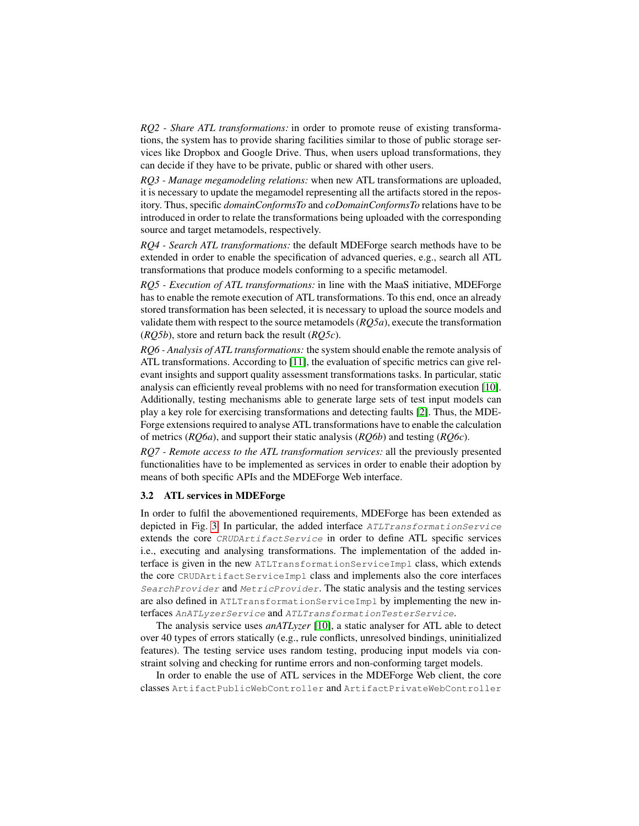*RQ2 - Share ATL transformations:* in order to promote reuse of existing transformations, the system has to provide sharing facilities similar to those of public storage services like Dropbox and Google Drive. Thus, when users upload transformations, they can decide if they have to be private, public or shared with other users.

*RQ3 - Manage megamodeling relations:* when new ATL transformations are uploaded, it is necessary to update the megamodel representing all the artifacts stored in the repository. Thus, specific *domainConformsTo* and *coDomainConformsTo* relations have to be introduced in order to relate the transformations being uploaded with the corresponding source and target metamodels, respectively.

*RQ4 - Search ATL transformations:* the default MDEForge search methods have to be extended in order to enable the specification of advanced queries, e.g., search all ATL transformations that produce models conforming to a specific metamodel.

*RQ5 - Execution of ATL transformations:* in line with the MaaS initiative, MDEForge has to enable the remote execution of ATL transformations. To this end, once an already stored transformation has been selected, it is necessary to upload the source models and validate them with respect to the source metamodels (*RQ5a*), execute the transformation (*RQ5b*), store and return back the result (*RQ5c*).

*RQ6 - Analysis of ATL transformations:* the system should enable the remote analysis of ATL transformations. According to [\[11\]](#page-7-9), the evaluation of specific metrics can give relevant insights and support quality assessment transformations tasks. In particular, static analysis can efficiently reveal problems with no need for transformation execution [\[10\]](#page-7-10). Additionally, testing mechanisms able to generate large sets of test input models can play a key role for exercising transformations and detecting faults [\[2\]](#page-7-11). Thus, the MDE-Forge extensions required to analyse ATL transformations have to enable the calculation of metrics (*RQ6a*), and support their static analysis (*RQ6b*) and testing (*RQ6c*).

*RQ7 - Remote access to the ATL transformation services:* all the previously presented functionalities have to be implemented as services in order to enable their adoption by means of both specific APIs and the MDEForge Web interface.

#### <span id="page-4-0"></span>3.2 ATL services in MDEForge

In order to fulfil the abovementioned requirements, MDEForge has been extended as depicted in Fig. [3.](#page-5-1) In particular, the added interface ATLTransformationService extends the core CRUDArtifactService in order to define ATL specific services i.e., executing and analysing transformations. The implementation of the added interface is given in the new ATLTransformationServiceImpl class, which extends the core CRUDArtifactServiceImpl class and implements also the core interfaces SearchProvider and MetricProvider. The static analysis and the testing services are also defined in ATLTransformationServiceImpl by implementing the new interfaces AnATLyzerService and ATLTransformationTesterService.

The analysis service uses *anATLyzer* [\[10\]](#page-7-10), a static analyser for ATL able to detect over 40 types of errors statically (e.g., rule conflicts, unresolved bindings, uninitialized features). The testing service uses random testing, producing input models via constraint solving and checking for runtime errors and non-conforming target models.

In order to enable the use of ATL services in the MDEForge Web client, the core classes ArtifactPublicWebController and ArtifactPrivateWebController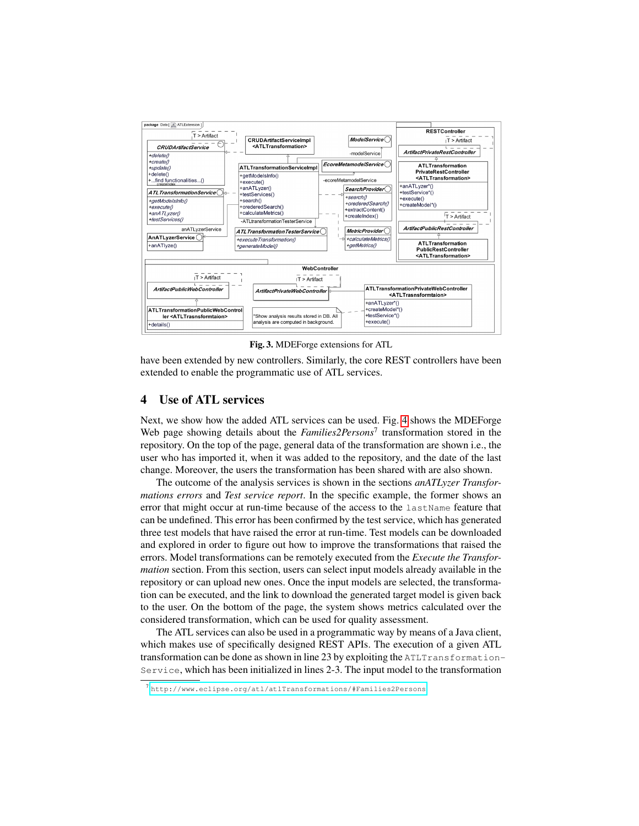

<span id="page-5-1"></span>Fig. 3. MDEForge extensions for ATL

have been extended by new controllers. Similarly, the core REST controllers have been extended to enable the programmatic use of ATL services.

#### <span id="page-5-0"></span>4 Use of ATL services

Next, we show how the added ATL services can be used. Fig. [4](#page-6-0) shows the MDEForge Web page showing details about the *Families2Persons*<sup>7</sup> transformation stored in the repository. On the top of the page, general data of the transformation are shown i.e., the user who has imported it, when it was added to the repository, and the date of the last change. Moreover, the users the transformation has been shared with are also shown.

The outcome of the analysis services is shown in the sections *anATLyzer Transformations errors* and *Test service report*. In the specific example, the former shows an error that might occur at run-time because of the access to the lastName feature that can be undefined. This error has been confirmed by the test service, which has generated three test models that have raised the error at run-time. Test models can be downloaded and explored in order to figure out how to improve the transformations that raised the errors. Model transformations can be remotely executed from the *Execute the Transformation* section. From this section, users can select input models already available in the repository or can upload new ones. Once the input models are selected, the transformation can be executed, and the link to download the generated target model is given back to the user. On the bottom of the page, the system shows metrics calculated over the considered transformation, which can be used for quality assessment.

The ATL services can also be used in a programmatic way by means of a Java client, which makes use of specifically designed REST APIs. The execution of a given ATL transformation can be done as shown in line 23 by exploiting the ATLTransformation-Service, which has been initialized in lines 2-3. The input model to the transformation

<sup>7</sup> <http://www.eclipse.org/atl/atlTransformations/#Families2Persons>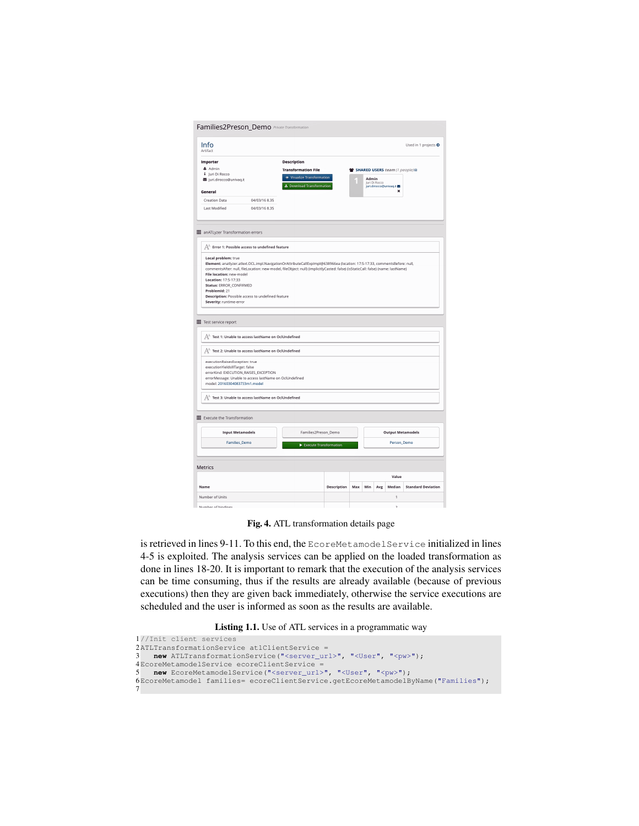| Families2Preson_Demo Private Transformation                                                                                                                                                                                                                                     |                                |                                                                                                             |                    |     |       |               |                                                         |                           |
|---------------------------------------------------------------------------------------------------------------------------------------------------------------------------------------------------------------------------------------------------------------------------------|--------------------------------|-------------------------------------------------------------------------------------------------------------|--------------------|-----|-------|---------------|---------------------------------------------------------|---------------------------|
| Info<br>Artifact                                                                                                                                                                                                                                                                |                                |                                                                                                             |                    |     |       |               |                                                         | Used in 1 projects O      |
| Importer<br>& Admin<br>i Juri Di Rocco<br>juri.dirocco@univaq.it                                                                                                                                                                                                                |                                | <b>Description</b><br><b>Transformation File</b><br>→ Visualize Transformation<br>と Download Transformation |                    |     | Admin | Juri Di Rocco | SHARED USERS team (1 people)⊕<br>juri.dirocco@univaq.it |                           |
| General                                                                                                                                                                                                                                                                         |                                |                                                                                                             |                    |     |       |               | $\mathbf x$                                             |                           |
| Creation Data<br>Last Modified                                                                                                                                                                                                                                                  | 04/03/16 8.35<br>04/03/16 8.35 |                                                                                                             |                    |     |       |               |                                                         |                           |
| anATLyzer Transformation errors                                                                                                                                                                                                                                                 |                                |                                                                                                             |                    |     |       |               |                                                         |                           |
| $\mathbb{A}^\wedge$ Error 1: Possible access to undefined feature                                                                                                                                                                                                               |                                |                                                                                                             |                    |     |       |               |                                                         |                           |
| Status: ERROR CONFIRMED<br>ProblemId: 21<br>Description: Possible access to undefined feature<br>Severity: runtime-error                                                                                                                                                        |                                |                                                                                                             |                    |     |       |               |                                                         |                           |
|                                                                                                                                                                                                                                                                                 |                                |                                                                                                             |                    |     |       |               |                                                         |                           |
| $A^A$ Test 1: Unable to access lastName on OclUndefined                                                                                                                                                                                                                         |                                |                                                                                                             |                    |     |       |               |                                                         |                           |
| $\mathbb{A}^\wedge$ Test 2: Unable to access lastName on OclUndefined<br>executionRaisesException: true<br>executionYieldsIllTarget: false<br>errorKind: EXECUTION_RAISES_EXCEPTION<br>errorMessage: Unable to access lastName on OclUndefined<br>model: 20160304083733m1.model |                                |                                                                                                             |                    |     |       |               |                                                         |                           |
| $\bigtriangleup^{\!\vartriangle}$                                                                                                                                                                                                                                               |                                |                                                                                                             |                    |     |       |               |                                                         |                           |
|                                                                                                                                                                                                                                                                                 |                                |                                                                                                             |                    |     |       |               |                                                         |                           |
| <b>Input Metamodels</b>                                                                                                                                                                                                                                                         |                                | Families2Preson_Demo                                                                                        |                    |     |       |               | <b>Output Metamodels</b>                                |                           |
| Families_Demo                                                                                                                                                                                                                                                                   |                                | Execute Transformation                                                                                      |                    |     |       |               | Person_Demo                                             |                           |
|                                                                                                                                                                                                                                                                                 |                                |                                                                                                             |                    |     |       |               |                                                         |                           |
|                                                                                                                                                                                                                                                                                 |                                |                                                                                                             |                    |     |       |               | Value                                                   |                           |
| Test service report<br><b>III</b> Execute the Transformation<br><b>Metrics</b><br>Name                                                                                                                                                                                          |                                |                                                                                                             | <b>Description</b> | Max | Min   | Avg           | Median                                                  | <b>Standard Deviation</b> |

<span id="page-6-0"></span>Fig. 4. ATL transformation details page

is retrieved in lines 9-11. To this end, the EcoreMetamodelService initialized in lines 4-5 is exploited. The analysis services can be applied on the loaded transformation as done in lines 18-20. It is important to remark that the execution of the analysis services can be time consuming, thus if the results are already available (because of previous executions) then they are given back immediately, otherwise the service executions are scheduled and the user is informed as soon as the results are available.

Listing 1.1. Use of ATL services in a programmatic way

| 1//Init client services                                                                   |
|-------------------------------------------------------------------------------------------|
| 2ATLTransformationService atlClientService =                                              |
| 3 new ATLTransformationService(" <server url="">", "<user", "<pw="">");</user",></server> |
| 4EcoreMetamodelService ecoreClientService =                                               |
| 5 new EcoreMetamodelService (" <server url="">", "<user", "<pw="">");</user",></server>   |
| 6EcoreMetamodel families= ecoreClientService.getEcoreMetamodelByName("Families");         |
| $7^{\circ}$                                                                               |